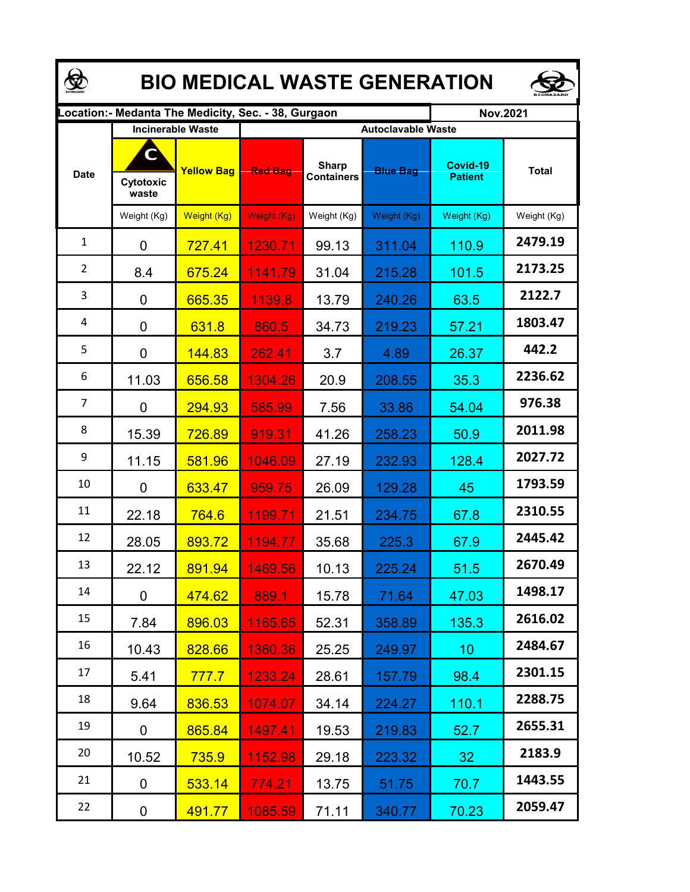| <b>BIO MEDICAL WASTE GENERATION</b> |                                                     |                   |                           |                                   |                 |                            |              |  |  |  |  |
|-------------------------------------|-----------------------------------------------------|-------------------|---------------------------|-----------------------------------|-----------------|----------------------------|--------------|--|--|--|--|
|                                     | Location:- Medanta The Medicity, Sec. - 38, Gurgaon |                   |                           |                                   |                 | <b>Nov.2021</b>            |              |  |  |  |  |
|                                     | <b>Incinerable Waste</b>                            |                   | <b>Autoclavable Waste</b> |                                   |                 |                            |              |  |  |  |  |
| <b>Date</b>                         | C<br>Cytotoxic<br>waste                             | <b>Yellow Bag</b> | <b>Red Bag</b>            | <b>Sharp</b><br><b>Containers</b> | <b>Blue Bag</b> | Covid-19<br><b>Patient</b> | <b>Total</b> |  |  |  |  |
|                                     | Weight (Kg)                                         | Weight (Kg)       | Weight (Kg)               | Weight (Kg)                       | Weight (Kg)     | Weight (Kg)                | Weight (Kg)  |  |  |  |  |
| $\mathbf{1}$                        | $\overline{0}$                                      | 727.41            | 1230.71                   | 99.13                             | 311.04          | 110.9                      | 2479.19      |  |  |  |  |
| $\overline{2}$                      | 8.4                                                 | 675.24            | 1141.79                   | 31.04                             | 215.28          | 101.5                      | 2173.25      |  |  |  |  |
| 3                                   | $\overline{0}$                                      | 665.35            | 1139.8                    | 13.79                             | 240.26          | 63.5                       | 2122.7       |  |  |  |  |
| 4                                   | 0                                                   | 631.8             | 860.5                     | 34.73                             | 219.23          | 57.21                      | 1803.47      |  |  |  |  |
| 5                                   | 0                                                   | 144.83            | 262.41                    | 3.7                               | 4.89            | 26.37                      | 442.2        |  |  |  |  |
| 6                                   | 11.03                                               | 656.58            | 1304.26                   | 20.9                              | 208.55          | 35.3                       | 2236.62      |  |  |  |  |
| $\overline{7}$                      | 0                                                   | 294.93            | 585.99                    | 7.56                              | 33.86           | 54.04                      | 976.38       |  |  |  |  |
| 8                                   | 15.39                                               | 726.89            | 919.31                    | 41.26                             | 258.23          | 50.9                       | 2011.98      |  |  |  |  |
| 9                                   | 11.15                                               | 581.96            | 1046.09                   | 27.19                             | 232.93          | 128.4                      | 2027.72      |  |  |  |  |
| 10                                  | 0                                                   | 633.47            | 959.75                    | 26.09                             | 129.28          | 45                         | 1793.59      |  |  |  |  |
| 11                                  | 22.18                                               | 764.6             | 1199.71                   | 21.51                             | 234.75          | 67.8                       | 2310.55      |  |  |  |  |
| 12                                  | 28.05                                               | 893.72            | 1194.77                   | 35.68                             | 225.3           | 67.9                       | 2445.42      |  |  |  |  |
| 13                                  | 22.12                                               | 891.94            | 1469.56                   | 10.13                             | 225.24          | 51.5                       | 2670.49      |  |  |  |  |
| 14                                  | 0                                                   | 474.62            | 889.1                     | 15.78                             | 71.64           | 47.03                      | 1498.17      |  |  |  |  |
| 15                                  | 7.84                                                | 896.03            | 1165.65                   | 52.31                             | 358.89          | 135.3                      | 2616.02      |  |  |  |  |
| 16                                  | 10.43                                               | 828.66            | 1360.36                   | 25.25                             | 249.97          | 10 <sup>°</sup>            | 2484.67      |  |  |  |  |
| 17                                  | 5.41                                                | 777.7             | 1233.24                   | 28.61                             | 157.79          | 98.4                       | 2301.15      |  |  |  |  |
| 18                                  | 9.64                                                | 836.53            | 1074.07                   | 34.14                             | 224.27          | 110.1                      | 2288.75      |  |  |  |  |
| 19                                  | 0                                                   | 865.84            | 1497.41                   | 19.53                             | 219.83          | 52.7                       | 2655.31      |  |  |  |  |
| 20                                  | 10.52                                               | 735.9             | 1152.98                   | 29.18                             | 223.32          | 32                         | 2183.9       |  |  |  |  |
| 21                                  | 0                                                   | 533.14            | 774.21                    | 13.75                             | 51.75           | 70.7                       | 1443.55      |  |  |  |  |
| 22                                  | 0                                                   | 491.77            | 1085.59                   | 71.11                             | 340.77          | 70.23                      | 2059.47      |  |  |  |  |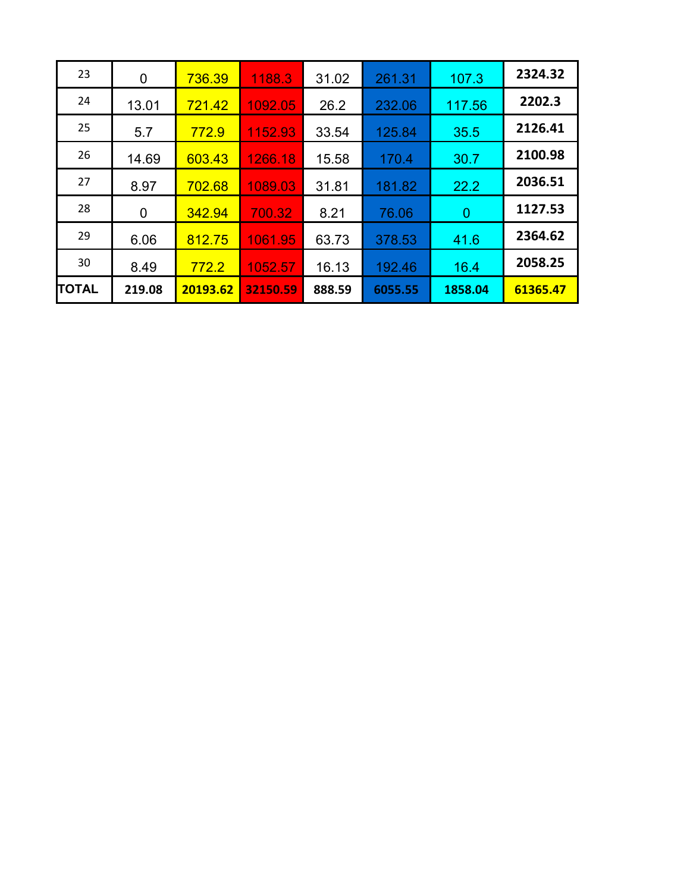| 23           | 0      | 736.39   | 1188.3   | 31.02  | 261.31  | 107.3          | 2324.32  |
|--------------|--------|----------|----------|--------|---------|----------------|----------|
| 24           | 13.01  | 721.42   | 1092.05  | 26.2   | 232.06  | 117.56         | 2202.3   |
| 25           | 5.7    | 772.9    | 1152.93  | 33.54  | 125.84  | 35.5           | 2126.41  |
| 26           | 14.69  | 603.43   | 1266.18  | 15.58  | 170.4   | 30.7           | 2100.98  |
| 27           | 8.97   | 702.68   | 1089.03  | 31.81  | 181.82  | 22.2           | 2036.51  |
| 28           | 0      | 342.94   | 700.32   | 8.21   | 76.06   | $\overline{0}$ | 1127.53  |
| 29           | 6.06   | 812.75   | 1061.95  | 63.73  | 378.53  | 41.6           | 2364.62  |
| 30           | 8.49   | 772.2    | 1052.57  | 16.13  | 192.46  | 16.4           | 2058.25  |
| <b>TOTAL</b> | 219.08 | 20193.62 | 32150.59 | 888.59 | 6055.55 | 1858.04        | 61365.47 |